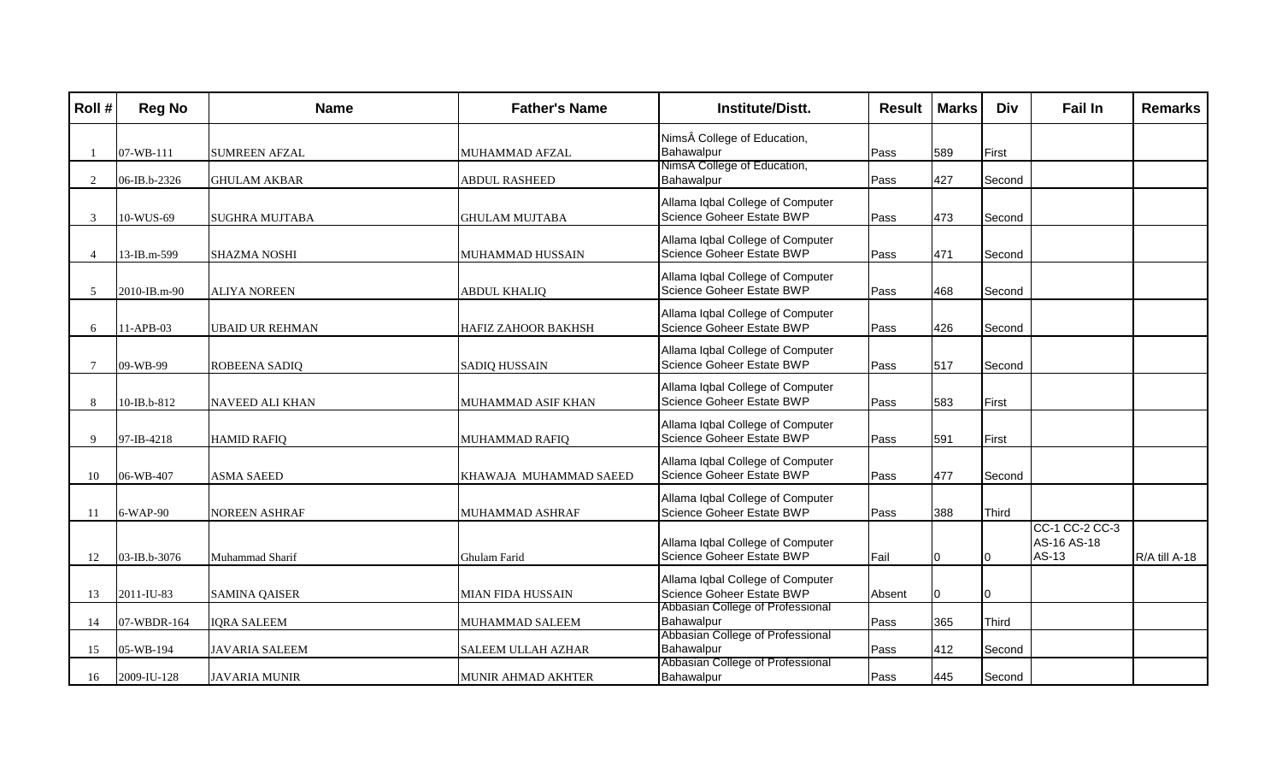| Roll#         | <b>Reg No</b> | <b>Name</b>            | <b>Father's Name</b>       | <b>Institute/Distt.</b>                                       | <b>Result</b> | <b>Marks</b> | <b>Div</b> | <b>Fail In</b> | <b>Remarks</b> |
|---------------|---------------|------------------------|----------------------------|---------------------------------------------------------------|---------------|--------------|------------|----------------|----------------|
|               |               |                        |                            | Nims College of Education,                                    |               |              |            |                |                |
|               | 07-WB-111     | <b>SUMREEN AFZAL</b>   | MUHAMMAD AFZAL             | Bahawalpur                                                    | Pass          | 589          | First      |                |                |
|               |               |                        |                            | NimsA College of Education,                                   |               |              |            |                |                |
| 2             | 06-IB.b-2326  | <b>GHULAM AKBAR</b>    | ABDUL RASHEED              | Bahawalpur                                                    | Pass          | 427          | Second     |                |                |
|               |               |                        |                            | Allama Iqbal College of Computer                              |               |              |            |                |                |
| $\mathcal{R}$ | 10-WUS-69     | <b>SUGHRA MUJTABA</b>  | <b>GHULAM MUJTABA</b>      | Science Goheer Estate BWP                                     | Pass          | 473          | Second     |                |                |
|               |               |                        |                            | Allama Iqbal College of Computer                              |               |              |            |                |                |
| 4             | 13-IB.m-599   | <b>SHAZMA NOSHI</b>    | MUHAMMAD HUSSAIN           | Science Goheer Estate BWP                                     | Pass          | 471          | Second     |                |                |
|               |               |                        |                            | Allama Iqbal College of Computer                              |               |              |            |                |                |
| 5             | 2010-IB.m-90  | ALIYA NOREEN           | <b>ABDUL KHALIO</b>        | Science Goheer Estate BWP                                     | Pass          | 468          | Second     |                |                |
|               |               |                        |                            |                                                               |               |              |            |                |                |
|               |               |                        |                            | Allama Iqbal College of Computer                              |               |              |            |                |                |
| 6             | 11-APB-03     | <b>UBAID UR REHMAN</b> | <b>HAFIZ ZAHOOR BAKHSH</b> | Science Goheer Estate BWP                                     | Pass          | 426          | Second     |                |                |
|               |               |                        |                            | Allama Iqbal College of Computer                              |               |              |            |                |                |
|               | 09-WB-99      | ROBEENA SADIQ          | <b>SADIQ HUSSAIN</b>       | Science Goheer Estate BWP                                     | Pass          | 517          | Second     |                |                |
|               |               |                        |                            | Allama Iqbal College of Computer                              |               |              |            |                |                |
| 8             | 10-IB.b-812   | NAVEED ALI KHAN        | MUHAMMAD ASIF KHAN         | Science Goheer Estate BWP                                     | Pass          | 583          | First      |                |                |
|               |               |                        |                            |                                                               |               |              |            |                |                |
| Q             | 97-IB-4218    | <b>HAMID RAFIQ</b>     | MUHAMMAD RAFIQ             | Allama Iqbal College of Computer<br>Science Goheer Estate BWP | Pass          | 591          | First      |                |                |
|               |               |                        |                            |                                                               |               |              |            |                |                |
|               |               |                        |                            | Allama Iqbal College of Computer                              |               |              |            |                |                |
| 10            | 06-WB-407     | <b>ASMA SAEED</b>      | KHAWAJA MUHAMMAD SAEED     | Science Goheer Estate BWP                                     | Pass          | 477          | Second     |                |                |
|               |               |                        |                            | Allama Iqbal College of Computer                              |               |              |            |                |                |
| 11            | 6-WAP-90      | NOREEN ASHRAF          | MUHAMMAD ASHRAF            | Science Goheer Estate BWP                                     | Pass          | 388          | Third      |                |                |
|               |               |                        |                            |                                                               |               |              |            | CC-1 CC-2 CC-3 |                |
|               |               |                        |                            | Allama Iqbal College of Computer                              |               |              |            | AS-16 AS-18    |                |
| 12            | 03-IB.b-3076  | Muhammad Sharif        | Ghulam Farid               | Science Goheer Estate BWP                                     | Fail          |              | ю          | AS-13          | R/A till A-18  |
|               |               |                        |                            | Allama Iqbal College of Computer                              |               |              |            |                |                |
| 13            | 2011-IU-83    | <b>SAMINA QAISER</b>   | MIAN FIDA HUSSAIN          | Science Goheer Estate BWP                                     | Absent        |              | 10.        |                |                |
|               |               |                        |                            | Abbasian College of Professional                              |               |              |            |                |                |
| 14            | 07-WBDR-164   | <b>IQRA SALEEM</b>     | MUHAMMAD SALEEM            | Bahawalpur<br>Abbasian College of Professional                | Pass          | 365          | Third      |                |                |
| 15            | 05-WB-194     | <b>JAVARIA SALEEM</b>  | <b>SALEEM ULLAH AZHAR</b>  | Bahawalpur                                                    | Pass          | 412          | Second     |                |                |
|               |               |                        |                            | Abbasian College of Professional                              |               |              |            |                |                |
| 16            | 2009-IU-128   | <b>JAVARIA MUNIR</b>   | MUNIR AHMAD AKHTER         | Bahawalpur                                                    | Pass          | 445          | Second     |                |                |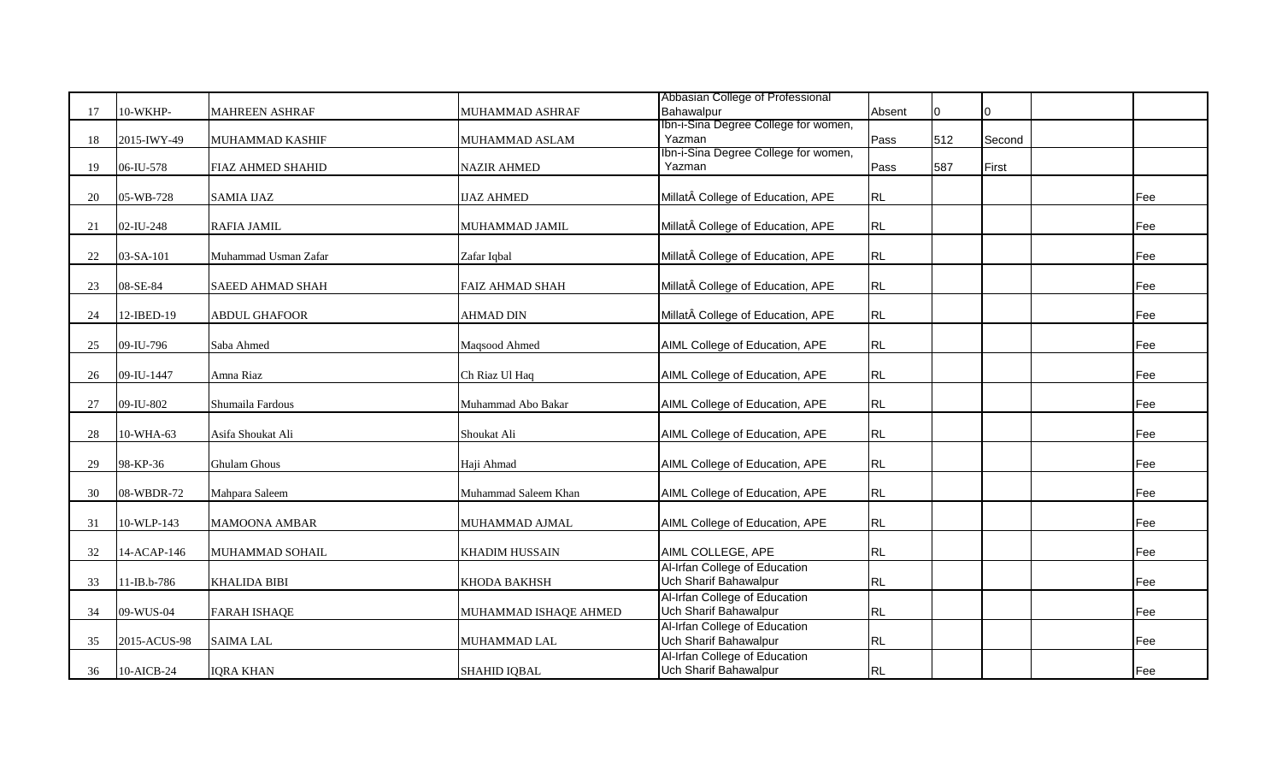|    |              |                          |                        | Abbasian College of Professional     |        |     |        |     |
|----|--------------|--------------------------|------------------------|--------------------------------------|--------|-----|--------|-----|
| 17 | 10-WKHP-     | <b>MAHREEN ASHRAF</b>    | MUHAMMAD ASHRAF        | Bahawalpur                           | Absent | U   | I0     |     |
|    |              |                          |                        | Ibn-i-Sina Degree College for women, |        |     |        |     |
| 18 | 2015-IWY-49  | MUHAMMAD KASHIF          | MUHAMMAD ASLAM         | Yazman                               | Pass   | 512 | Second |     |
|    |              |                          |                        | Ibn-i-Sina Degree College for women, |        |     |        |     |
| 19 | 06-IU-578    | <b>FIAZ AHMED SHAHID</b> | <b>NAZIR AHMED</b>     | Yazman                               | Pass   | 587 | First  |     |
|    |              |                          |                        |                                      |        |     |        |     |
| 20 | 05-WB-728    | <b>SAMIA IJAZ</b>        | <b>IJAZ AHMED</b>      | Millat College of Education, APE     | RL     |     |        | Fee |
|    |              |                          |                        |                                      |        |     |        |     |
| 21 | 02-IU-248    | <b>RAFIA JAMIL</b>       | MUHAMMAD JAMIL         | Millat College of Education, APE     | RL     |     |        | Fee |
|    |              |                          |                        |                                      |        |     |        |     |
| 22 | 03-SA-101    | Muhammad Usman Zafar     | Zafar Iqbal            | Millat College of Education, APE     | RL     |     |        | Fee |
|    |              |                          |                        |                                      |        |     |        |     |
| 23 | 08-SE-84     | <b>SAEED AHMAD SHAH</b>  | <b>FAIZ AHMAD SHAH</b> | Millat College of Education, APE     | RL     |     |        | Fee |
|    |              |                          |                        |                                      |        |     |        |     |
| 24 | 12-IBED-19   | <b>ABDUL GHAFOOR</b>     | <b>AHMAD DIN</b>       | Millat College of Education, APE     | RL     |     |        | Fee |
|    |              |                          |                        |                                      |        |     |        |     |
| 25 | 09-IU-796    | Saba Ahmed               | Maqsood Ahmed          | AIML College of Education, APE       | RL     |     |        | Fee |
|    |              |                          |                        |                                      |        |     |        |     |
|    |              |                          |                        |                                      | RL     |     |        |     |
| 26 | 09-IU-1447   | Amna Riaz                | Ch Riaz Ul Haq         | AIML College of Education, APE       |        |     |        | Fee |
|    |              |                          |                        |                                      |        |     |        |     |
| 27 | 09-IU-802    | Shumaila Fardous         | Muhammad Abo Bakar     | AIML College of Education, APE       | RL     |     |        | Fee |
|    |              |                          |                        |                                      |        |     |        |     |
| 28 | 10-WHA-63    | Asifa Shoukat Ali        | Shoukat Ali            | AIML College of Education, APE       | RL     |     |        | Fee |
|    |              |                          |                        |                                      |        |     |        |     |
| 29 | 98-KP-36     | <b>Ghulam Ghous</b>      | Haji Ahmad             | AIML College of Education, APE       | RL     |     |        | Fee |
|    |              |                          |                        |                                      |        |     |        |     |
| 30 | 08-WBDR-72   | Mahpara Saleem           | Muhammad Saleem Khan   | AIML College of Education, APE       | RL     |     |        | Fee |
|    |              |                          |                        |                                      |        |     |        |     |
| 31 | 10-WLP-143   | <b>MAMOONA AMBAR</b>     | MUHAMMAD AJMAL         | AIML College of Education, APE       | RL     |     |        | Fee |
|    |              |                          |                        |                                      |        |     |        |     |
| 32 | 14-ACAP-146  | MUHAMMAD SOHAIL          | <b>KHADIM HUSSAIN</b>  | AIML COLLEGE, APE                    | RL     |     |        | Fee |
|    |              |                          |                        | Al-Irfan College of Education        |        |     |        |     |
| 33 | 11-IB.b-786  | <b>KHALIDA BIBI</b>      | <b>KHODA BAKHSH</b>    | Uch Sharif Bahawalpur                | RL     |     |        | Fee |
|    |              |                          |                        | Al-Irfan College of Education        |        |     |        |     |
| 34 | 09-WUS-04    | <b>FARAH ISHAQE</b>      | MUHAMMAD ISHAQE AHMED  | Uch Sharif Bahawalpur                | RL     |     |        | Fee |
|    |              |                          |                        | Al-Irfan College of Education        |        |     |        |     |
| 35 | 2015-ACUS-98 | <b>SAIMA LAL</b>         | MUHAMMAD LAL           | Uch Sharif Bahawalpur                | RL     |     |        | Fee |
|    |              |                          |                        | Al-Irfan College of Education        |        |     |        |     |
| 36 | 10-AICB-24   | <b>IQRA KHAN</b>         | <b>SHAHID IQBAL</b>    | Uch Sharif Bahawalpur                | RL     |     |        | Fee |
|    |              |                          |                        |                                      |        |     |        |     |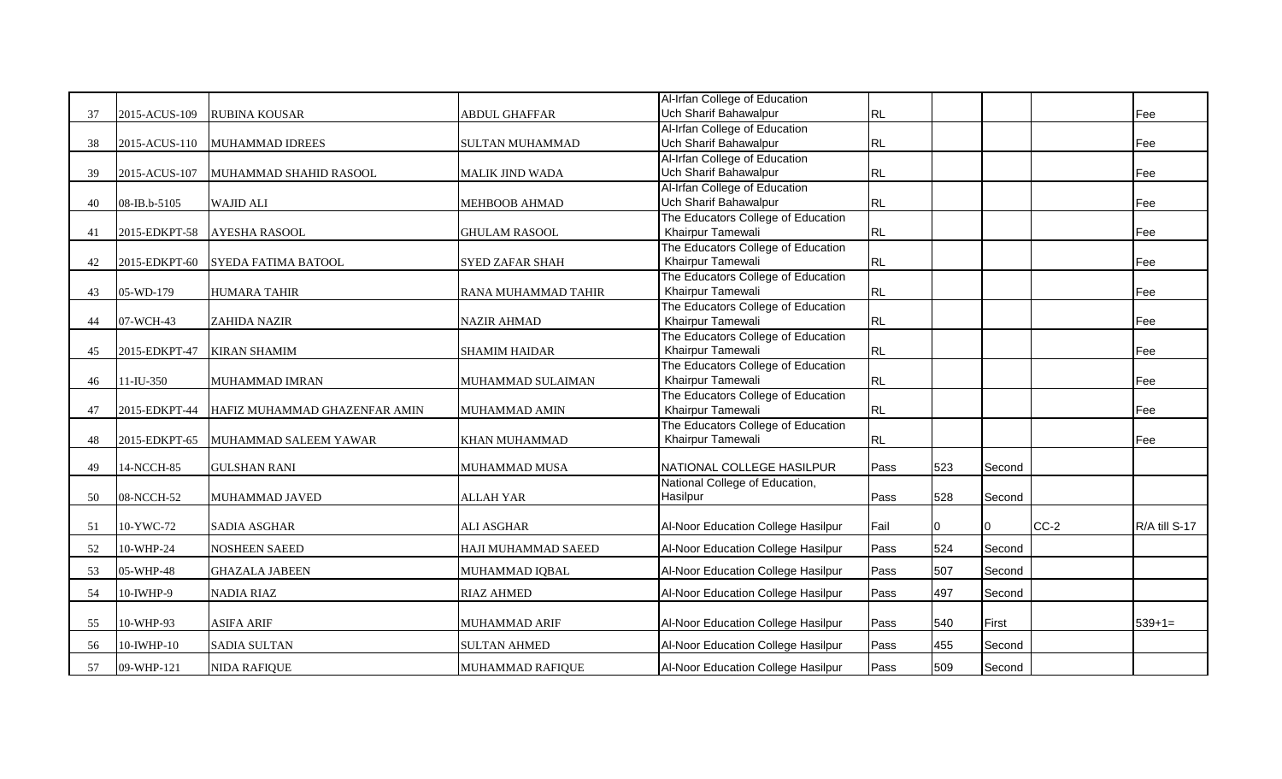|    |               |                               |                        | Al-Irfan College of Education      |               |     |                |        |               |
|----|---------------|-------------------------------|------------------------|------------------------------------|---------------|-----|----------------|--------|---------------|
| 37 | 2015-ACUS-109 | <b>RUBINA KOUSAR</b>          | ABDUL GHAFFAR          | Uch Sharif Bahawalpur              | RL            |     |                |        | Fee           |
|    |               |                               |                        | Al-Irfan College of Education      |               |     |                |        |               |
| 38 | 2015-ACUS-110 | MUHAMMAD IDREES               | <b>SULTAN MUHAMMAD</b> | Uch Sharif Bahawalpur              | RL            |     |                |        | Fee           |
|    |               |                               |                        | Al-Irfan College of Education      |               |     |                |        |               |
| 39 | 2015-ACUS-107 | MUHAMMAD SHAHID RASOOL        | MALIK JIND WADA        | Uch Sharif Bahawalpur              | RL            |     |                |        | Fee           |
|    |               |                               |                        | Al-Irfan College of Education      |               |     |                |        |               |
| 40 | 08-IB.b-5105  | <b>WAJID ALI</b>              | <b>MEHBOOB AHMAD</b>   | Uch Sharif Bahawalpur              | RL            |     |                |        | Fee           |
|    |               |                               |                        | The Educators College of Education |               |     |                |        |               |
| 41 | 2015-EDKPT-58 | <b>AYESHA RASOOL</b>          | <b>GHULAM RASOOL</b>   | Khairpur Tamewali                  | RL            |     |                |        | Fee           |
|    |               |                               |                        | The Educators College of Education |               |     |                |        |               |
| 42 | 2015-EDKPT-60 | <b>SYEDA FATIMA BATOOL</b>    | <b>SYED ZAFAR SHAH</b> | Khairpur Tamewali                  | RL            |     |                |        | Fee           |
|    |               |                               |                        | The Educators College of Education |               |     |                |        |               |
| 43 | 05-WD-179     | <b>HUMARA TAHIR</b>           | RANA MUHAMMAD TAHIR    | Khairpur Tamewali                  | RL            |     |                |        | Fee           |
|    |               |                               |                        | The Educators College of Education |               |     |                |        |               |
| 44 | 07-WCH-43     | <b>ZAHIDA NAZIR</b>           | <b>NAZIR AHMAD</b>     | Khairpur Tamewali                  | RL            |     |                |        | Fee           |
|    |               |                               |                        | The Educators College of Education |               |     |                |        |               |
| 45 | 2015-EDKPT-47 | <b>KIRAN SHAMIM</b>           | <b>SHAMIM HAIDAR</b>   | Khairpur Tamewali                  | RL            |     |                |        | <b>Fee</b>    |
|    |               |                               |                        | The Educators College of Education |               |     |                |        |               |
| 46 | $11$ -IU-350  | MUHAMMAD IMRAN                | MUHAMMAD SULAIMAN      | Khairpur Tamewali                  | RL            |     |                |        | Fee           |
|    |               |                               |                        | The Educators College of Education |               |     |                |        |               |
| 47 | 2015-EDKPT-44 | HAFIZ MUHAMMAD GHAZENFAR AMIN | MUHAMMAD AMIN          | Khairpur Tamewali                  | RL            |     |                |        | Fee           |
|    |               |                               |                        | The Educators College of Education |               |     |                |        |               |
| 48 | 2015-EDKPT-65 | MUHAMMAD SALEEM YAWAR         | <b>KHAN MUHAMMAD</b>   | Khairpur Tamewali                  | RL            |     |                |        | Fee           |
|    |               |                               |                        |                                    |               |     |                |        |               |
| 49 | 14-NCCH-85    | <b>GULSHAN RANI</b>           | MUHAMMAD MUSA          | NATIONAL COLLEGE HASILPUR          | Pass          | 523 | Second         |        |               |
|    |               |                               |                        | National College of Education,     |               |     |                |        |               |
| 50 | 08-NCCH-52    | MUHAMMAD JAVED                | <b>ALLAH YAR</b>       | Hasilpur                           | <b>Pass</b>   | 528 | Second         |        |               |
|    |               |                               | <b>ALI ASGHAR</b>      |                                    |               |     |                | $CC-2$ | R/A till S-17 |
| 51 | 10-YWC-72     | <b>SADIA ASGHAR</b>           |                        | Al-Noor Education College Hasilpur | Fail          | 10  | $\overline{0}$ |        |               |
| 52 | 10-WHP-24     | <b>NOSHEEN SAEED</b>          | HAJI MUHAMMAD SAEED    | Al-Noor Education College Hasilpur | Pass          | 524 | Second         |        |               |
| 53 | 05-WHP-48     | <b>GHAZALA JABEEN</b>         | MUHAMMAD IQBAL         | Al-Noor Education College Hasilpur | Pass          | 507 | Second         |        |               |
|    |               |                               |                        |                                    |               |     |                |        |               |
| 54 | $10$ -IWHP-9  | <b>NADIA RIAZ</b>             | <b>RIAZ AHMED</b>      | Al-Noor Education College Hasilpur | <b>I</b> Pass | 497 | Second         |        |               |
|    |               |                               |                        |                                    |               |     |                |        |               |
| 55 | 10-WHP-93     | <b>ASIFA ARIF</b>             | <b>MUHAMMAD ARIF</b>   | Al-Noor Education College Hasilpur | Pass          | 540 | First          |        | $539+1=$      |
| 56 | 10-IWHP-10    | <b>SADIA SULTAN</b>           | <b>SULTAN AHMED</b>    | Al-Noor Education College Hasilpur | Pass          | 455 | Second         |        |               |
|    |               |                               |                        |                                    | Pass          | 509 |                |        |               |
| 57 | 09-WHP-121    | NIDA RAFIQUE                  | MUHAMMAD RAFIQUE       | Al-Noor Education College Hasilpur |               |     | Second         |        |               |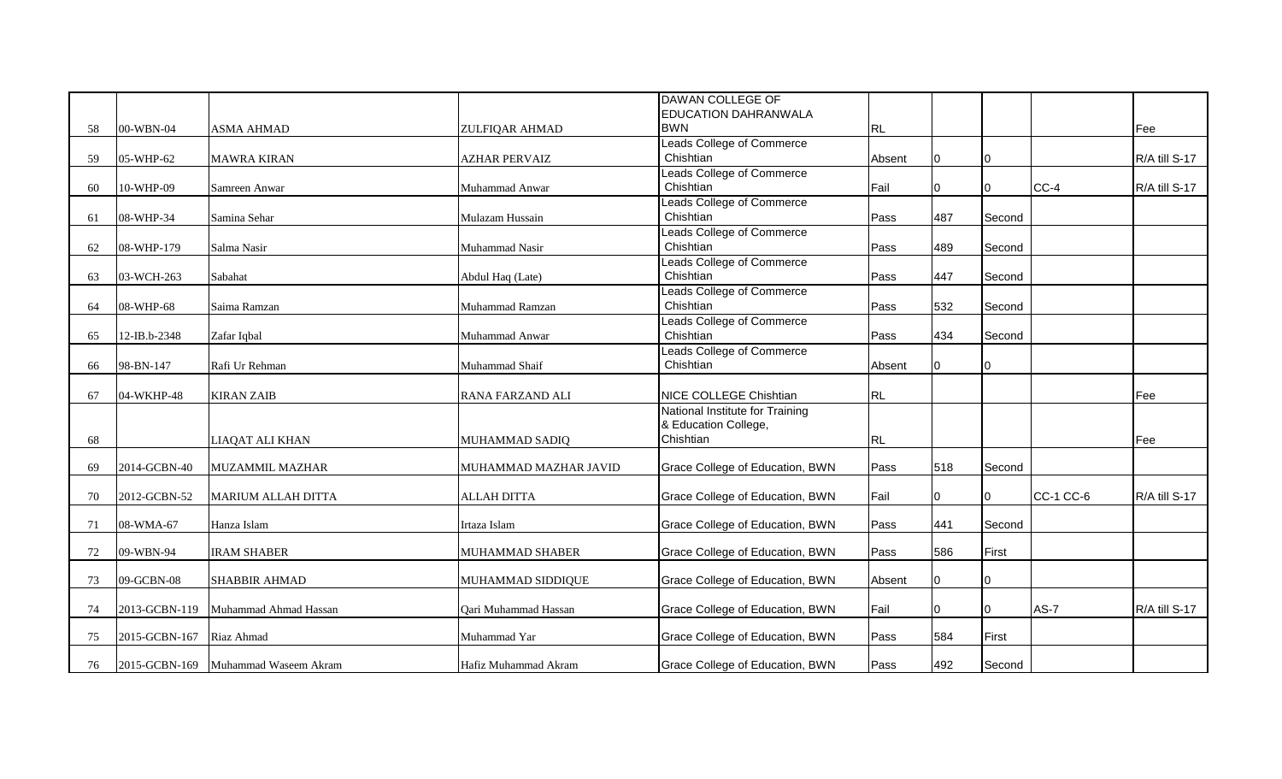|    |               |                                     |                         | DAWAN COLLEGE OF                          |           |     |               |                  |               |
|----|---------------|-------------------------------------|-------------------------|-------------------------------------------|-----------|-----|---------------|------------------|---------------|
| 58 | 00-WBN-04     | <b>ASMA AHMAD</b>                   | ZULFIQAR AHMAD          | <b>EDUCATION DAHRANWALA</b><br><b>BWN</b> | <b>RL</b> |     |               |                  | Fee           |
|    |               |                                     |                         | Leads College of Commerce                 |           |     |               |                  |               |
| 59 | 05-WHP-62     | <b>MAWRA KIRAN</b>                  | <b>AZHAR PERVAIZ</b>    | Chishtian                                 | Absent    | 0   | 10.           |                  | R/A till S-17 |
|    |               |                                     |                         | Leads College of Commerce                 |           |     |               |                  |               |
| 60 | 10-WHP-09     | Samreen Anwar                       | Muhammad Anwar          | Chishtian                                 | Fail      | n   | IО            | $CC-4$           | R/A till S-17 |
|    |               |                                     |                         | <b>Leads College of Commerce</b>          |           |     |               |                  |               |
| 61 | 08-WHP-34     | Samina Sehar                        | Mulazam Hussain         | Chishtian                                 | Pass      | 487 | Second        |                  |               |
|    |               |                                     |                         | Leads College of Commerce                 |           |     |               |                  |               |
| 62 | 08-WHP-179    | Salma Nasir                         | Muhammad Nasir          | Chishtian                                 | Pass      | 489 | Second        |                  |               |
|    |               |                                     |                         | Leads College of Commerce                 |           |     |               |                  |               |
| 63 | 03-WCH-263    | Sabahat                             | Abdul Haq (Late)        | Chishtian                                 | Pass      | 447 | Second        |                  |               |
|    |               |                                     |                         | Leads College of Commerce                 |           |     |               |                  |               |
| 64 | 08-WHP-68     | Saima Ramzan                        | Muhammad Ramzan         | Chishtian                                 | Pass      | 532 | Second        |                  |               |
|    |               |                                     |                         | Leads College of Commerce                 |           |     |               |                  |               |
| 65 | 12-IB.b-2348  | Zafar Iqbal                         | Muhammad Anwar          | Chishtian                                 | Pass      | 434 | Second        |                  |               |
|    |               |                                     |                         | Leads College of Commerce                 |           |     |               |                  |               |
| 66 | 98-BN-147     | Rafi Ur Rehman                      | Muhammad Shaif          | Chishtian                                 | Absent    |     | 10.           |                  |               |
| 67 | 04-WKHP-48    | <b>KIRAN ZAIB</b>                   | <b>RANA FARZAND ALI</b> | NICE COLLEGE Chishtian                    | <b>RL</b> |     |               |                  | Fee           |
|    |               |                                     |                         | National Institute for Training           |           |     |               |                  |               |
|    |               |                                     |                         | & Education College,                      |           |     |               |                  |               |
| 68 |               | LIAQAT ALI KHAN                     | MUHAMMAD SADIQ          | Chishtian                                 | <b>RL</b> |     |               |                  | Fee           |
|    |               |                                     |                         |                                           |           |     |               |                  |               |
| 69 | 2014-GCBN-40  | <b>MUZAMMIL MAZHAR</b>              | MUHAMMAD MAZHAR JAVID   | Grace College of Education, BWN           | Pass      | 518 | <b>Second</b> |                  |               |
|    |               |                                     |                         |                                           |           |     |               |                  |               |
| 70 | 2012-GCBN-52  | <b>MARIUM ALLAH DITTA</b>           | <b>ALLAH DITTA</b>      | Grace College of Education, BWN           | Fail      | U   | 10.           | <b>CC-1 CC-6</b> | R/A till S-17 |
| 71 | 08-WMA-67     | Hanza Islam                         | Irtaza Islam            | Grace College of Education, BWN           | Pass      | 441 | Second        |                  |               |
|    |               |                                     |                         |                                           |           |     |               |                  |               |
| 72 | 09-WBN-94     | <b>IRAM SHABER</b>                  | MUHAMMAD SHABER         | Grace College of Education, BWN           | Pass      | 586 | First         |                  |               |
|    |               |                                     |                         |                                           |           |     |               |                  |               |
| 73 | 09-GCBN-08    | <b>SHABBIR AHMAD</b>                | MUHAMMAD SIDDIQUE       | Grace College of Education, BWN           | Absent    |     | 10.           |                  |               |
|    |               |                                     |                         |                                           |           |     |               |                  |               |
| 74 | 2013-GCBN-119 | Muhammad Ahmad Hassan               | Qari Muhammad Hassan    | Grace College of Education, BWN           | Fail      | U   | IО            | $AS-7$           | R/A till S-17 |
|    |               |                                     |                         |                                           |           |     |               |                  |               |
| 75 | 2015-GCBN-167 | Riaz Ahmad                          | Muhammad Yar            | Grace College of Education, BWN           | Pass      | 584 | First         |                  |               |
| 76 |               | 2015-GCBN-169 Muhammad Waseem Akram | Hafiz Muhammad Akram    | Grace College of Education, BWN           | Pass      | 492 | Second        |                  |               |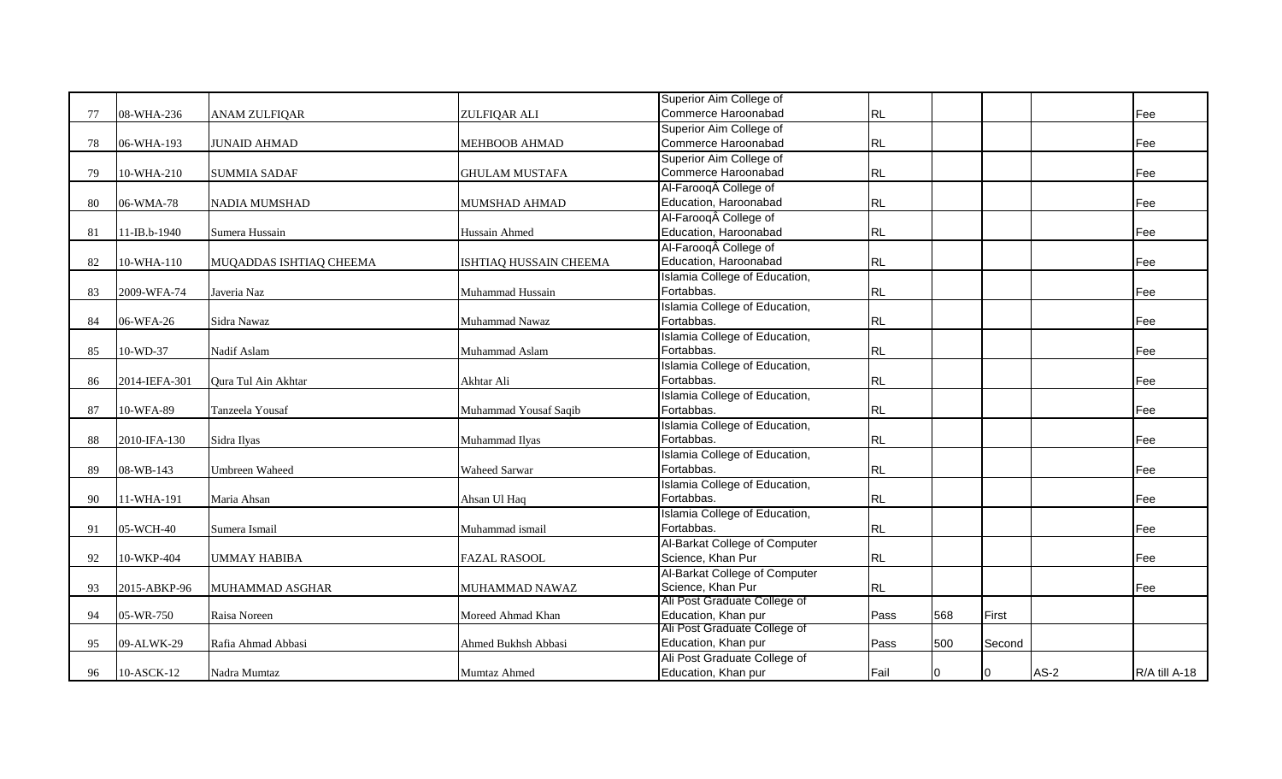|    |               |                         |                        | Superior Aim College of       |           |     |        |      |               |
|----|---------------|-------------------------|------------------------|-------------------------------|-----------|-----|--------|------|---------------|
| 77 | 08-WHA-236    | <b>ANAM ZULFIQAR</b>    | ZULFIQAR ALI           | Commerce Haroonabad           | <b>RL</b> |     |        |      | <b>IFee</b>   |
|    |               |                         |                        | Superior Aim College of       |           |     |        |      |               |
| 78 | 06-WHA-193    | <b>JUNAID AHMAD</b>     | <b>MEHBOOB AHMAD</b>   | Commerce Haroonabad           | RL        |     |        |      | <b>IFee</b>   |
|    |               |                         |                        | Superior Aim College of       |           |     |        |      |               |
| 79 | 10-WHA-210    | <b>SUMMIA SADAF</b>     | <b>GHULAM MUSTAFA</b>  | Commerce Haroonabad           | <b>RL</b> |     |        |      | Fee           |
|    |               |                         |                        | Al-Farooq College of          |           |     |        |      |               |
| 80 | 06-WMA-78     | <b>NADIA MUMSHAD</b>    | MUMSHAD AHMAD          | Education, Haroonabad         | <b>RL</b> |     |        |      | Fee           |
|    |               |                         |                        | Al-Farooq College of          |           |     |        |      |               |
| 81 | 11-IB.b-1940  | Sumera Hussain          | Hussain Ahmed          | Education, Haroonabad         | <b>RL</b> |     |        |      | Fee           |
|    |               |                         |                        | Al-Farooq College of          |           |     |        |      |               |
| 82 | 10-WHA-110    | MUQADDAS ISHTIAQ CHEEMA | ISHTIAQ HUSSAIN CHEEMA | Education, Haroonabad         | <b>RL</b> |     |        |      | Fee           |
|    |               |                         |                        | Islamia College of Education, |           |     |        |      |               |
| 83 | 2009-WFA-74   | Javeria Naz             | Muhammad Hussain       | Fortabbas.                    | <b>RL</b> |     |        |      | lFee          |
|    |               |                         |                        | Islamia College of Education, |           |     |        |      |               |
| 84 | 06-WFA-26     | Sidra Nawaz             | Muhammad Nawaz         | Fortabbas.                    | <b>RL</b> |     |        |      | lFee          |
|    |               |                         |                        | Islamia College of Education, |           |     |        |      |               |
| 85 | 10-WD-37      | Nadif Aslam             | Muhammad Aslam         | Fortabbas.                    | <b>RL</b> |     |        |      | <b>IFee</b>   |
|    |               |                         |                        | Islamia College of Education, |           |     |        |      |               |
| 86 | 2014-IEFA-301 | Qura Tul Ain Akhtar     | Akhtar Ali             | Fortabbas.                    | <b>RL</b> |     |        |      | Fee           |
|    |               |                         |                        | Islamia College of Education, |           |     |        |      |               |
| 87 | 10-WFA-89     | Tanzeela Yousaf         | Muhammad Yousaf Saqib  | Fortabbas.                    | <b>RL</b> |     |        |      | Fee           |
|    |               |                         |                        | Islamia College of Education, |           |     |        |      |               |
| 88 | 2010-IFA-130  | Sidra Ilyas             | Muhammad Ilyas         | Fortabbas.                    | RL        |     |        |      | Fee           |
|    |               |                         |                        | Islamia College of Education, |           |     |        |      |               |
| 89 | 08-WB-143     | <b>Umbreen Waheed</b>   | Waheed Sarwar          | Fortabbas.                    | RL        |     |        |      | Fee           |
|    |               |                         |                        | Islamia College of Education, |           |     |        |      |               |
| 90 | 11-WHA-191    | Maria Ahsan             | Ahsan Ul Haq           | Fortabbas.                    | RL        |     |        |      | <b>IFee</b>   |
|    |               |                         |                        | Islamia College of Education, |           |     |        |      |               |
| 91 | 05-WCH-40     | Sumera Ismail           | Muhammad ismail        | Fortabbas.                    | <b>RL</b> |     |        |      | <b>IFee</b>   |
|    |               |                         |                        | Al-Barkat College of Computer |           |     |        |      |               |
| 92 | 10-WKP-404    | <b>UMMAY HABIBA</b>     | <b>FAZAL RASOOL</b>    | Science, Khan Pur             | <b>RL</b> |     |        |      | IFee          |
|    |               |                         |                        | Al-Barkat College of Computer |           |     |        |      |               |
| 93 | 2015-ABKP-96  | MUHAMMAD ASGHAR         | MUHAMMAD NAWAZ         | Science, Khan Pur             | <b>RL</b> |     |        |      | <b>IFee</b>   |
|    |               |                         |                        | Ali Post Graduate College of  |           |     |        |      |               |
| 94 | 05-WR-750     | Raisa Noreen            | Moreed Ahmad Khan      | Education, Khan pur           | Pass      | 568 | First  |      |               |
|    |               |                         |                        | Ali Post Graduate College of  |           |     |        |      |               |
| 95 | 09-ALWK-29    | Rafia Ahmad Abbasi      | Ahmed Bukhsh Abbasi    | Education, Khan pur           | Pass      | 500 | Second |      |               |
|    |               |                         |                        | Ali Post Graduate College of  |           |     |        |      |               |
| 96 | $10-ASCII2$   | Nadra Mumtaz            | <b>Mumtaz Ahmed</b>    | Education, Khan pur           | Fail      | 0   | Ю      | AS-2 | R/A till A-18 |